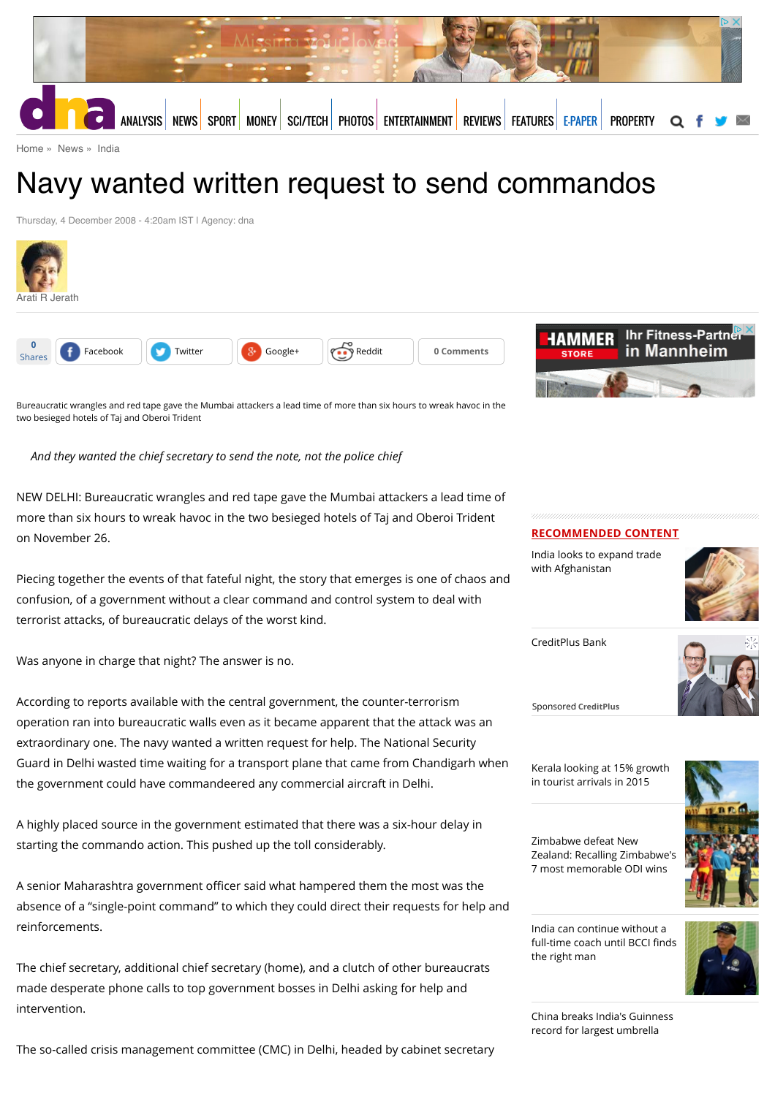

[Home](http://www.dnaindia.com/) » [News](http://www.dnaindia.com/news) » [India](http://www.dnaindia.com/india)

# Navy wanted written request to send commandos

Thursday, 4 December 2008 - 4:20am IST | Agency: dna







Bureaucratic wrangles and red tape gave the Mumbai attackers a lead time of more than six hours to wreak havoc in the two besieged hotels of Taj and Oberoi Trident

*And they wanted the chief secretary to send the note, not the police chief*

NEW DELHI: Bureaucratic wrangles and red tape gave the Mumbai attackers a lead time of more than six hours to wreak havoc in the two besieged hotels of Taj and Oberoi Trident on November 26.

Piecing together the events of that fateful night, the story that emerges is one of chaos and confusion, of a government without a clear command and control system to deal with terrorist attacks, of bureaucratic delays of the worst kind.

Was anyone in charge that night? The answer is no.

According to reports available with the central government, the counter-terrorism operation ran into bureaucratic walls even as it became apparent that the attack was an extraordinary one. The navy wanted a written request for help. The National Security Guard in Delhi wasted time waiting for a transport plane that came from Chandigarh when the government could have commandeered any commercial aircraft in Delhi.

A highly placed source in the government estimated that there was a six-hour delay in starting the commando action. This pushed up the toll considerably.

A senior Maharashtra government officer said what hampered them the most was the absence of a "single-point command" to which they could direct their requests for help and reinforcements.

The chief secretary, additional chief secretary (home), and a clutch of other bureaucrats made desperate phone calls to top government bosses in Delhi asking for help and intervention.

The so-called crisis management committee (CMC) in Delhi, headed by cabinet secretary



[India looks to expand trade](http://www.dnaindia.com/money/report-india-looks-to-expand-trade-with-afghanistan-2111015) with Afghanistan



[CreditPlus Bank](https://beap.gemini.yahoo.com/mbclk?bv=1.0.0&es=569QMTEGIS_h.shYrxyxAWINDUfqxoEdf5g7JeyUYneGiXvfQ_A2l_BdMBKC6dCcbRRjuNu4f_EJVwoBdAxDawsSHwk8T65B2F7hj83F3CZT80cc_NJKoK.pyQsbaKwNDqV37aEvPeq6dWzOnqrbMJ_fDe3j5zqHS3JKpIat4RBn9Z206nuLAjl8cKejEDOVrs0Y9qACoNhZYic9MbE1Ib7PRzTHbKTeUGmG3E0LWlKg.mZLiQMfxJdsDPsb0Boyp1iIUss4C6AfIoaudnJ5kzVjODVX3r.qxHZ6kcLGwo4c8eK.0MTx.glDqO1AT2Y8od6UVpdB7iLCaPy0._ToysqKZCu9ZfCXwgGNpHmYjWrnwM97Si3CME_E91xN8FbRhz22D9dxM5Mstxyh15BJNprlQWB1dcN6c5zA7hFdLIqlCqg8PgOzCvWYzZmJdA5Cu7oq3gyCAPYNpJmbZjVotsGty.H42c3ppfLrhfdTVagt5tnVAvXHCW1NCPDpe9YS68PMU7aNClvwuXQhP3OhAABSl5NRdmWsZoYCyWxkeI_iHrql8WtLXKhOcqhAqUrt9ZQQkQi1XjloIry0AxATbOL8GvuyK5ytZ3z7nDkcbTZmV_lR7_1dz4DcbwC04ihWJuynV4JH_kh8hnjBcI79PUToiaXd6337y8d5A_oVWtZoQdZAKokDJ1Fq7u4XBnGOps5Fmsd_3av_vELq7gCbXhnr8.iog2qdZYcWXHuBaAhOMzFWDyQN33t2nArW3yB4KTFOuWmx4EKiz0A0DxCXSowPKDwClKzO5CbTdHGUlkc1lG_6fq.aP36nwoA85pbkkCjVm6KcK1Lu.6P5qqzV%26lp=)



Sponsored **CreditPlus**

[Kerala looking at 15% growth](http://www.dnaindia.com/india/report-kerala-looking-at-15-growth-in-tourist-arrivals-in-2015-2111001) in tourist arrivals in 2015

Zimbabwe defeat New

7 most memorable ODI wins



[India can continue without a](http://www.dnaindia.com/analysis/standpoint-india-can-continue-without-a-full-time-coach-until-bcci-finds-the-right-man-2110819) full-time coach until BCCI finds the right man



[China breaks India's Guinness](http://www.dnaindia.com/world/report-china-breaks-india-s-guinness-record-for-largest-umbrella-2110800) record for largest umbrella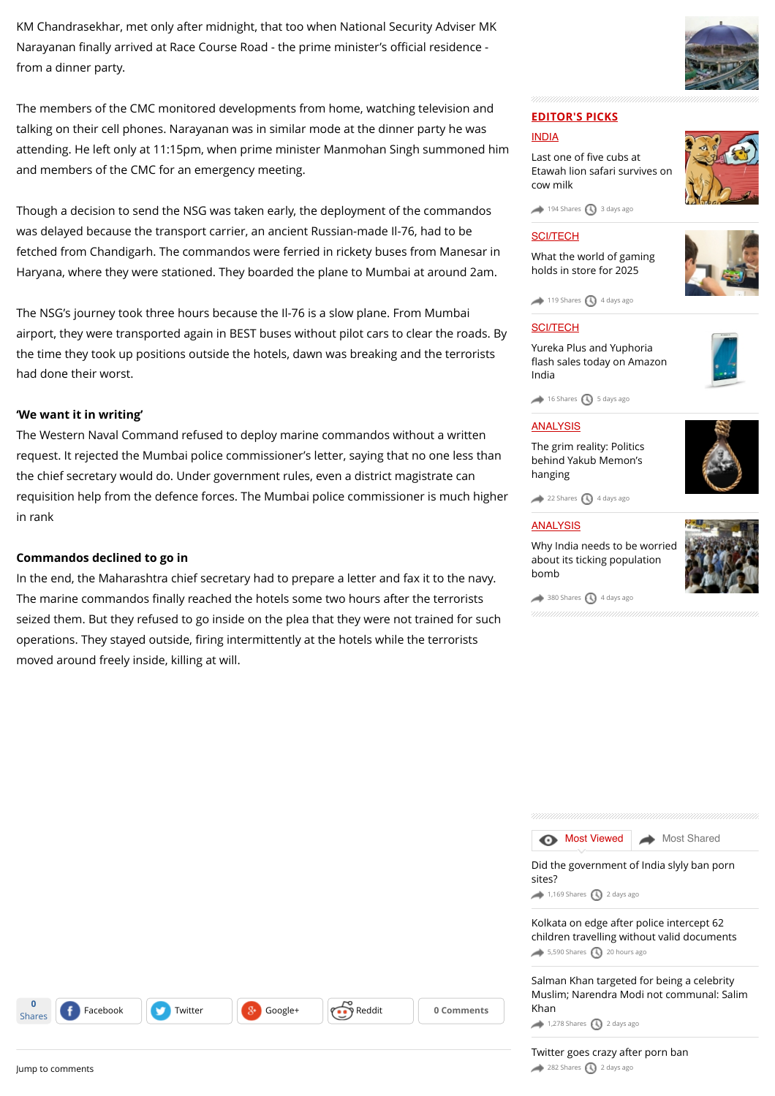KM Chandrasekhar, met only after midnight, that too when National Security Adviser MK Narayanan finally arrived at Race Course Road - the prime minister's official residence from a dinner party.

The members of the CMC monitored developments from home, watching television and talking on their cell phones. Narayanan was in similar mode at the dinner party he was attending. He left only at 11:15pm, when prime minister Manmohan Singh summoned him and members of the CMC for an emergency meeting.

Though a decision to send the NSG was taken early, the deployment of the commandos was delayed because the transport carrier, an ancient Russian-made Il-76, had to be fetched from Chandigarh. The commandos were ferried in rickety buses from Manesar in Haryana, where they were stationed. They boarded the plane to Mumbai at around 2am.

The NSG's journey took three hours because the Il-76 is a slow plane. From Mumbai airport, they were transported again in BEST buses without pilot cars to clear the roads. By the time they took up positions outside the hotels, dawn was breaking and the terrorists had done their worst.

# **'We want it in writing'**

The Western Naval Command refused to deploy marine commandos without a written request. It rejected the Mumbai police commissioner's letter, saying that no one less than the chief secretary would do. Under government rules, even a district magistrate can requisition help from the defence forces. The Mumbai police commissioner is much higher in rank

# **Commandos declined to go in**

In the end, the Maharashtra chief secretary had to prepare a letter and fax it to the navy. The marine commandos finally reached the hotels some two hours after the terrorists seized them. But they refused to go inside on the plea that they were not trained for such operations. They stayed outside, firing intermittently at the hotels while the terrorists moved around freely inside, killing at will.

Shares **f** [Facebook](https://www.facebook.com/sharer/sharer.php?u=http%3A%2F%2Fwww.dnaindia.com%2Findia%2Freport-navy-wanted-written-request-to-send-commandos-1211268) [Twitter](https://twitter.com/share?url=http%3A%2F%2Fdnai.in%2F8e5W&lang=en&text=Navy+wanted+written+request+to+send+commandos&via=dna%20%20@) **[Google+](https://plus.google.com/share?url=http%3A%2F%2Fwww.dnaindia.com%2Findia%2Freport-navy-wanted-written-request-to-send-commandos-1211268&hl=en) Comments** 



# **EDITOR'S PICKS**

# [INDIA](http://www.dnaindia.com/india)

Last one of five cubs at [Etawah lion safari survives on](http://www.dnaindia.com/india/report-last-one-of-five-cubs-at-etawah-lion-safari-survives-on-cow-milk-2109981) cow milk



 $194$  Shares  $\bigcirc$  [3 days ago](http://www.dnaindia.com/india/report-navy-wanted-written-request-to-send-commandos-1211268#)

# **[SCI/TECH](http://www.dnaindia.com/scitech)**

[What the world of gaming](http://www.dnaindia.com/scitech/report-immersion-is-the-name-of-the-game-2109432) holds in store for 2025



 $119$  Shares  $\bigcirc$  [4 days ago](http://www.dnaindia.com/india/report-navy-wanted-written-request-to-send-commandos-1211268#)

# **[SCI/TECH](http://www.dnaindia.com/scitech)**

Yureka Plus and Yuphoria fl[ash sales today on Amazon](http://www.dnaindia.com/scitech/report-yureka-plus-and-yuphoria-flash-sales-today-on-amazon-india-2109499) India



 $\rightarrow$  [16 Shares](http://www.dnaindia.com/india/report-navy-wanted-written-request-to-send-commandos-1211268#)  $\bigcirc$  [5 days ago](http://www.dnaindia.com/india/report-navy-wanted-written-request-to-send-commandos-1211268#)

# **[ANALYSIS](http://www.dnaindia.com/analysis)**

[The grim reality: Politics](http://www.dnaindia.com/analysis/editorial-the-grim-reality-politics-behind-yakub-memon-s-hanging-2109659) behind Yakub Memon's hanging



 $22$  Shares  $\bigcirc$  [4 days ago](http://www.dnaindia.com/india/report-navy-wanted-written-request-to-send-commandos-1211268#)

### [ANALYSIS](http://www.dnaindia.com/analysis)

[Why India needs to be worried](http://www.dnaindia.com/analysis/editorial-dnaedit-population-bomb-2109662) about its ticking population bomb



 $\rightarrow$  [380 Shares](http://www.dnaindia.com/india/report-navy-wanted-written-request-to-send-commandos-1211268#)  $\bigcirc$  [4 days ago](http://www.dnaindia.com/india/report-navy-wanted-written-request-to-send-commandos-1211268#)

| Did the government of India slyly ban porn<br>sites? | Most Viewed Most Shared |
|------------------------------------------------------|-------------------------|
|                                                      |                         |
|                                                      |                         |

Kolkata on edge after police intercept 62 [children travelling without valid documents](http://www.dnaindia.com/india/report-kolkata-on-edge-after-police-intercept-62-children-travelling-without-valid-documents-2110864)  $5,590$  Shares  $20$  hours ago

Salman Khan targeted for being a celebrity [Muslim; Narendra Modi not communal: Salim](http://www.dnaindia.com/india/report-salman-khan-targeted-for-being-a-celebrity-muslim-narendra-modi-not-communal-salim-khan-2110179) Khan

 $1,278$  Shares  $\bigodot$  [2 days ago](http://www.dnaindia.com/india/report-navy-wanted-written-request-to-send-commandos-1211268#)

[Twitter goes crazy after porn ban](http://www.dnaindia.com/india/report-twitter-goes-crazy-after-porn-ban-2110255) [282 Shares](http://www.dnaindia.com/india/report-navy-wanted-written-request-to-send-commandos-1211268#) [2 days ago](http://www.dnaindia.com/india/report-navy-wanted-written-request-to-send-commandos-1211268#)

**0**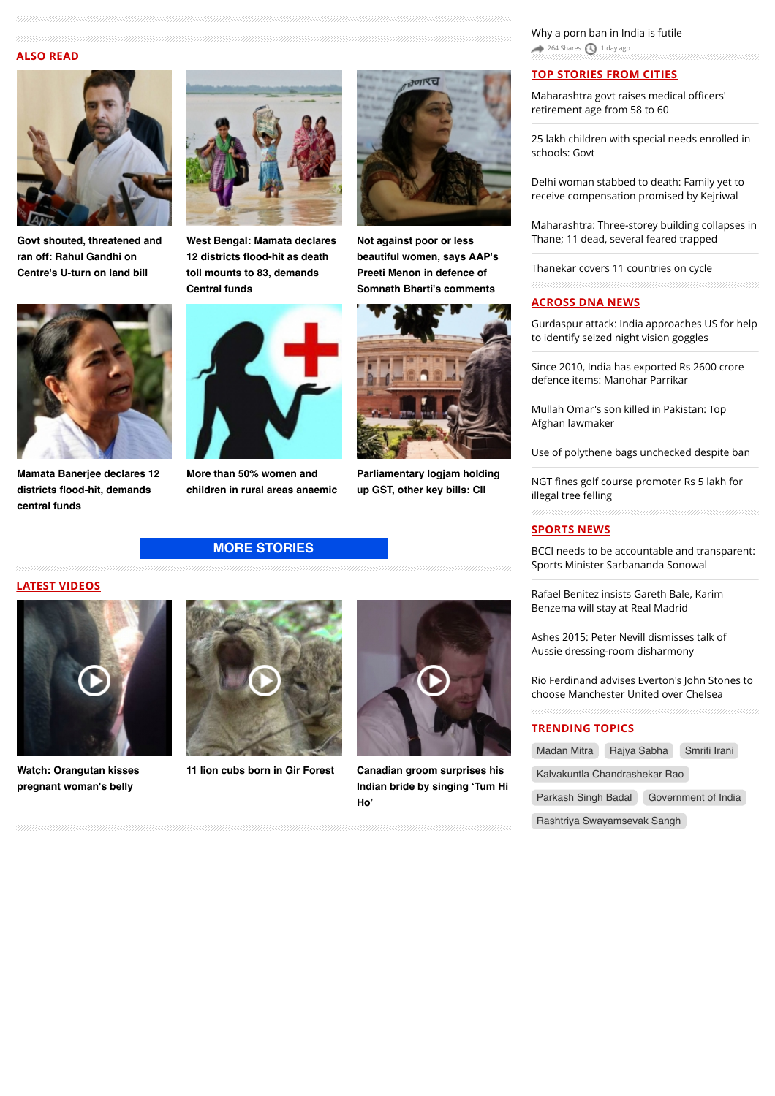### **ALSO READ**



**[Govt shouted, threatened and](http://www.dnaindia.com/india/report-govt-shouted-threatened-and-ran-off-says-rahul-gandhi-on-centre-s-u-turn-on-land-bill-2111026) ran off: Rahul Gandhi on Centre's U-turn on land bill**



**[West Bengal: Mamata declares](http://www.dnaindia.com/india/report-west-bengal-mamata-declares-12-districts-flood-hit-as-death-toll-mounts-to-83-demands-central-funds-2111029) 12 districts flood-hit as death toll mounts to 83, demands Central funds**



**[Mamata Banerjee declares 12](http://www.dnaindia.com/india/report-mamata-banerjee-declares-12-districts-flood-hit-demands-central-funds-2111035) districts flood-hit, demands central funds**



**More than 50% women and [children in rural areas anaemic](http://www.dnaindia.com/india/report-more-than-50-women-and-children-in-rural-areas-anaemic-2111031)**



**Not against poor or less [beautiful women, says AAP's](http://www.dnaindia.com/india/report-not-against-poor-or-less-beautiful-women-says-aap-s-preeti-menon-in-defence-of-somnath-bharti-s-comments-2111024) Preeti Menon in defence of Somnath Bharti's comments**



**[Parliamentary logjam holding](http://www.dnaindia.com/india/report-parliamentary-logjam-holding-up-gst-other-key-bills-cii-2110998)**





**[Watch: Orangutan kisses](http://www.dnaindia.com/world/video-watch-orangutan-kisses-pregnant-woman-s-belly-2109068) pregnant woman's belly**

# **[MORE STORIES](http://www.dnaindia.com/india)**





**[11 lion cubs born in Gir Forest](http://www.dnaindia.com/india/video-11-lion-cubs-born-in-gir-forest-2105493) Canadian groom surprises his [Indian bride by singing 'Tum Hi](http://www.dnaindia.com/world/video-canadian-groom-surprises-his-indian-bride-by-singing-tum-hi-ho-2104831) Ho'**

[Why a porn ban in India is futile](http://www.dnaindia.com/india/comment-why-a-porn-ban-in-india-is-futile-2110582)  $264$  Shares  $\bigcirc$  [1 day ago](http://www.dnaindia.com/india/report-navy-wanted-written-request-to-send-commandos-1211268#)

# **TOP STORIES FROM CITIES**

[Maharashtra govt raises medical o](http://www.dnaindia.com/mumbai/report-maharashtra-govt-raises-medical-officers-retirement-age-from-58-to-60-2110999)fficers' retirement age from 58 to 60

[25 lakh children with special needs enrolled in](http://www.dnaindia.com/delhi/report-25-lakh-children-with-special-needs-enrolled-in-schools-govt-2110985) schools: Govt

[Delhi woman stabbed to death: Family yet to](http://www.dnaindia.com/delhi/report-delhi-woman-stabbed-to-death-family-yet-to-receive-compensation-promised-by-kejriwal-2110904) receive compensation promised by Kejriwal

[Maharashtra: Three-storey building collapses in](http://www.dnaindia.com/mumbai/report-maharashtra-three-storey-building-collapses-in-thane-11-dead-several-feared-trapped-2110890) Thane; 11 dead, several feared trapped

[Thanekar covers 11 countries on cycle](http://www.dnaindia.com/mumbai/report-thanekar-covers-11-countries-on-cycle-2110888)

### **ACROSS DNA NEWS**

[Gurdaspur attack: India approaches US for help](http://www.dnaindia.com/india/report-gurdaspur-attack-india-approaches-us-for-help-to-identify-seized-night-vision-goggles-2111093) to identify seized night vision goggles

[Since 2010, India has exported Rs 2600 crore](http://www.dnaindia.com/india/report-since-2010-india-has-exported-rs-2600-crore-defence-items-manohar-parrikar-2111094) defence items: Manohar Parrikar

[Mullah Omar's son killed in Pakistan: Top](http://www.dnaindia.com/world/report-mullah-omar-s-son-killed-in-pakistan-top-afghan-lawmaker-2111096) Afghan lawmaker

[Use of polythene bags unchecked despite ban](http://www.dnaindia.com/india/report-use-of-polythene-bags-unchecked-despite-ban-2111081)

NGT fi[nes golf course promoter Rs 5 lakh for](http://www.dnaindia.com/india/report-ngt-fines-golf-course-promoter-rs-5-lakh-for-illegal-tree-felling-2111076) illegal tree felling

### **SPORTS NEWS**

[BCCI needs to be accountable and transparent:](http://www.dnaindia.com/sport/report-bcci-needs-to-be-accountable-and-transparent-sports-minister-sarbananda-sonowal-2111038) Sports Minister Sarbananda Sonowal

[Rafael Benitez insists Gareth Bale, Karim](http://www.dnaindia.com/sport/report-rafael-benitez-insists-gareth-bale-karim-benzema-will-stay-at-real-madrid-2110989) Benzema will stay at Real Madrid

[Ashes 2015: Peter Nevill dismisses talk of](http://www.dnaindia.com/sport/report-ashes-2015-peter-nevill-dismisses-talk-of-aussie-dressing-room-disharmony-2110984) Aussie dressing-room disharmony

[Rio Ferdinand advises Everton's John Stones to](http://www.dnaindia.com/sport/report-rio-ferdinand-advises-everton-s-john-stones-to-choose-manchester-united-over-chelsea-2110968) choose Manchester United over Chelsea

### **TRENDING TOPICS**

| Madan Mitra                   | Rajya Sabha |                     | Smriti Irani |  |  |
|-------------------------------|-------------|---------------------|--------------|--|--|
| Kalvakuntla Chandrashekar Rao |             |                     |              |  |  |
| Parkash Singh Badal           |             | Government of India |              |  |  |
|                               |             |                     |              |  |  |

[Rashtriya Swayamsevak Sangh](http://www.dnaindia.com/topic/rashtriya-swayamsevak-sangh)

**up GST, other key bills: CII**